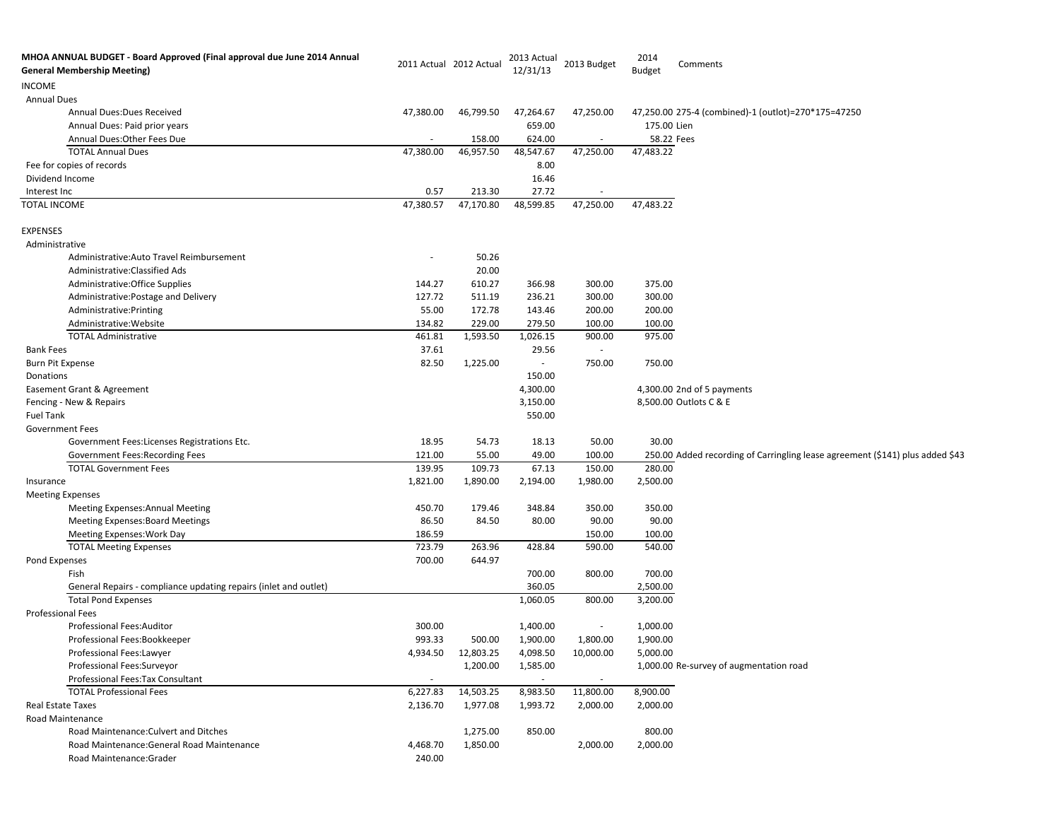| MHOA ANNUAL BUDGET - Board Approved (Final approval due June 2014 Annual<br><b>General Membership Meeting)</b> |           | 2011 Actual 2012 Actual | 2013 Actual<br>12/31/13  | 2013 Budget              | 2014<br><b>Budget</b> | Comments                                                                      |
|----------------------------------------------------------------------------------------------------------------|-----------|-------------------------|--------------------------|--------------------------|-----------------------|-------------------------------------------------------------------------------|
| <b>INCOME</b>                                                                                                  |           |                         |                          |                          |                       |                                                                               |
| <b>Annual Dues</b>                                                                                             |           |                         |                          |                          |                       |                                                                               |
| Annual Dues: Dues Received                                                                                     | 47,380.00 | 46,799.50               | 47,264.67                | 47,250.00                |                       | 47,250.00 275-4 (combined)-1 (outlot)=270*175=47250                           |
| Annual Dues: Paid prior years                                                                                  |           |                         | 659.00                   |                          | 175.00 Lien           |                                                                               |
| Annual Dues: Other Fees Due                                                                                    |           | 158.00                  | 624.00                   | $\sim$                   | 58.22 Fees            |                                                                               |
| <b>TOTAL Annual Dues</b>                                                                                       | 47,380.00 | 46,957.50               | 48,547.67                | 47,250.00                | 47,483.22             |                                                                               |
| Fee for copies of records                                                                                      |           |                         | 8.00                     |                          |                       |                                                                               |
| Dividend Income                                                                                                |           |                         | 16.46                    |                          |                       |                                                                               |
| Interest Inc                                                                                                   | 0.57      | 213.30                  | 27.72                    |                          |                       |                                                                               |
| TOTAL INCOME                                                                                                   | 47,380.57 | 47,170.80               | 48,599.85                | 47,250.00                | 47,483.22             |                                                                               |
| <b>EXPENSES</b>                                                                                                |           |                         |                          |                          |                       |                                                                               |
| Administrative                                                                                                 |           |                         |                          |                          |                       |                                                                               |
| Administrative: Auto Travel Reimbursement                                                                      |           | 50.26                   |                          |                          |                       |                                                                               |
| Administrative: Classified Ads                                                                                 |           | 20.00                   |                          |                          |                       |                                                                               |
| Administrative: Office Supplies                                                                                | 144.27    | 610.27                  | 366.98                   | 300.00                   | 375.00                |                                                                               |
| Administrative: Postage and Delivery                                                                           | 127.72    | 511.19                  | 236.21                   | 300.00                   | 300.00                |                                                                               |
| Administrative: Printing                                                                                       | 55.00     | 172.78                  | 143.46                   | 200.00                   | 200.00                |                                                                               |
| Administrative: Website                                                                                        | 134.82    | 229.00                  | 279.50                   | 100.00                   | 100.00                |                                                                               |
| <b>TOTAL Administrative</b>                                                                                    | 461.81    | 1,593.50                | 1,026.15                 | 900.00                   | 975.00                |                                                                               |
| <b>Bank Fees</b>                                                                                               | 37.61     |                         | 29.56                    | $\overline{\phantom{a}}$ |                       |                                                                               |
| <b>Burn Pit Expense</b>                                                                                        | 82.50     | 1,225.00                | $\overline{\phantom{a}}$ | 750.00                   | 750.00                |                                                                               |
| Donations                                                                                                      |           |                         | 150.00                   |                          |                       |                                                                               |
| Easement Grant & Agreement                                                                                     |           |                         | 4,300.00                 |                          |                       | 4,300.00 2nd of 5 payments                                                    |
| Fencing - New & Repairs                                                                                        |           |                         | 3,150.00                 |                          |                       | 8,500.00 Outlots C & E                                                        |
| Fuel Tank                                                                                                      |           |                         | 550.00                   |                          |                       |                                                                               |
| <b>Government Fees</b>                                                                                         |           |                         |                          |                          |                       |                                                                               |
| Government Fees:Licenses Registrations Etc.                                                                    | 18.95     | 54.73                   | 18.13                    | 50.00                    | 30.00                 |                                                                               |
| Government Fees: Recording Fees                                                                                | 121.00    | 55.00                   | 49.00                    | 100.00                   |                       | 250.00 Added recording of Carringling lease agreement (\$141) plus added \$43 |
| <b>TOTAL Government Fees</b>                                                                                   | 139.95    | 109.73                  | 67.13                    | 150.00                   | 280.00                |                                                                               |
| Insurance                                                                                                      | 1,821.00  | 1,890.00                | 2,194.00                 | 1,980.00                 | 2,500.00              |                                                                               |
| <b>Meeting Expenses</b>                                                                                        |           |                         |                          |                          |                       |                                                                               |
| <b>Meeting Expenses: Annual Meeting</b>                                                                        | 450.70    | 179.46                  | 348.84                   | 350.00                   | 350.00                |                                                                               |
| <b>Meeting Expenses: Board Meetings</b>                                                                        | 86.50     | 84.50                   | 80.00                    | 90.00                    | 90.00                 |                                                                               |
| <b>Meeting Expenses: Work Day</b>                                                                              | 186.59    |                         |                          | 150.00                   | 100.00                |                                                                               |
| <b>TOTAL Meeting Expenses</b>                                                                                  | 723.79    | 263.96                  | 428.84                   | 590.00                   | 540.00                |                                                                               |
| Pond Expenses                                                                                                  | 700.00    | 644.97                  |                          |                          |                       |                                                                               |
| Fish                                                                                                           |           |                         | 700.00                   | 800.00                   | 700.00                |                                                                               |
| General Repairs - compliance updating repairs (inlet and outlet)                                               |           |                         | 360.05                   |                          | 2,500.00              |                                                                               |
| <b>Total Pond Expenses</b>                                                                                     |           |                         | 1,060.05                 | 800.00                   | 3,200.00              |                                                                               |
| Professional Fees                                                                                              |           |                         |                          |                          |                       |                                                                               |
| Professional Fees:Auditor                                                                                      | 300.00    |                         | 1,400.00                 | $\overline{\phantom{a}}$ | 1,000.00              |                                                                               |
| Professional Fees:Bookkeeper                                                                                   | 993.33    | 500.00                  | 1,900.00                 | 1,800.00                 | 1,900.00              |                                                                               |
| Professional Fees:Lawyer                                                                                       | 4,934.50  | 12,803.25               | 4,098.50                 | 10,000.00                | 5,000.00              |                                                                               |
| Professional Fees: Surveyor                                                                                    |           | 1,200.00                | 1,585.00                 |                          |                       | 1,000.00 Re-survey of augmentation road                                       |
| Professional Fees: Tax Consultant                                                                              |           |                         | $\overline{\phantom{a}}$ |                          |                       |                                                                               |
| <b>TOTAL Professional Fees</b>                                                                                 | 6,227.83  | 14,503.25               | 8,983.50                 | 11,800.00                | 8,900.00              |                                                                               |
| Real Estate Taxes                                                                                              | 2,136.70  | 1,977.08                | 1,993.72                 | 2,000.00                 | 2,000.00              |                                                                               |
| Road Maintenance                                                                                               |           |                         |                          |                          |                       |                                                                               |
| Road Maintenance: Culvert and Ditches                                                                          |           | 1,275.00                | 850.00                   |                          | 800.00                |                                                                               |
| Road Maintenance: General Road Maintenance                                                                     | 4,468.70  | 1,850.00                |                          | 2,000.00                 | 2,000.00              |                                                                               |
| Road Maintenance: Grader                                                                                       | 240.00    |                         |                          |                          |                       |                                                                               |